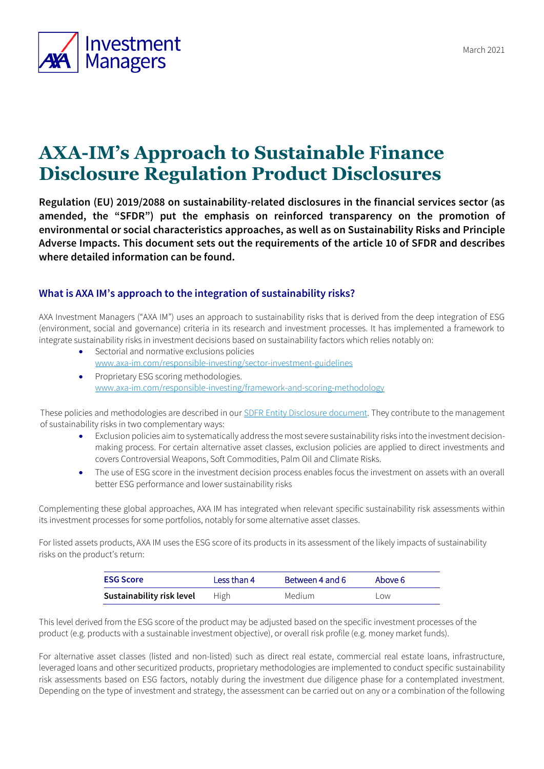

# **AXA-IM's Approach to Sustainable Finance Disclosure Regulation Product Disclosures**

**Regulation (EU) 2019/2088 on sustainability-related disclosures in the financial services sector (as amended, the "SFDR") put the emphasis on reinforced transparency on the promotion of environmental or social characteristics approaches, as well as on Sustainability Risks and Principle Adverse Impacts. This document sets out the requirements of the article 10 of SFDR and describes where detailed information can be found.**

## **What is AXA IM's approach to the integration of sustainability risks?**

AXA Investment Managers ("AXA IM") uses an approach to sustainability risks that is derived from the deep integration of ESG (environment, social and governance) criteria in its research and investment processes. It has implemented a framework to integrate sustainability risks in investment decisions based on sustainability factors which relies notably on:

- Sectorial and normative exclusions policies [www.axa-im.com/responsible-investing/sector-investment-guidelines](http://www.axa-im.com/responsible-investing/sector-investment-guidelines)
- Proprietary ESG scoring methodologies. [www.axa-im.com/responsible-investing/framework-and-scoring-methodology](http://www.axa-im.com/responsible-investing/framework-and-scoring-methodology)

These policies and methodologies are described in our [SDFR Entity Disclosure document.](https://www.axa-im.com/important-information/SFDR) They contribute to the management of sustainability risks in two complementary ways:

- Exclusion policies aim to systematically address the most severe sustainability risks into the investment decisionmaking process. For certain alternative asset classes, exclusion policies are applied to direct investments and covers Controversial Weapons, Soft Commodities, Palm Oil and Climate Risks.
- The use of ESG score in the investment decision process enables focus the investment on assets with an overall better ESG performance and lower sustainability risks

Complementing these global approaches, AXA IM has integrated when relevant specific sustainability risk assessments within its investment processes for some portfolios, notably for some alternative asset classes.

For listed assets products, AXA IM uses the ESG score of its products in its assessment of the likely impacts of sustainability risks on the product's return:

| <b>ESG Score</b>          | Less than 4 | Between 4 and 6 | Above 6 |
|---------------------------|-------------|-----------------|---------|
| Sustainability risk level | High        | Medium.         | LOW.    |

This level derived from the ESG score of the product may be adjusted based on the specific investment processes of the product (e.g. products with a sustainable investment objective), or overall risk profile (e.g. money market funds).

For alternative asset classes (listed and non-listed) such as direct real estate, commercial real estate loans, infrastructure, leveraged loans and other securitized products, proprietary methodologies are implemented to conduct specific sustainability risk assessments based on ESG factors, notably during the investment due diligence phase for a contemplated investment. Depending on the type of investment and strategy, the assessment can be carried out on any or a combination of the following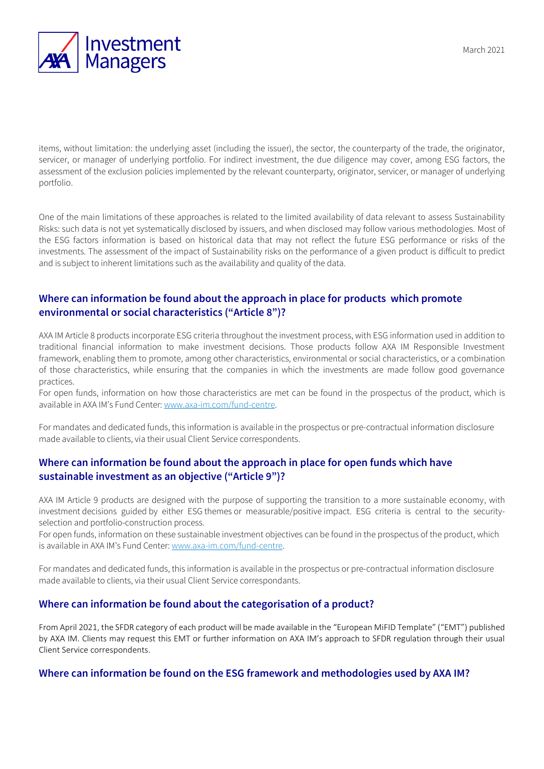

items, without limitation: the underlying asset (including the issuer), the sector, the counterparty of the trade, the originator, servicer, or manager of underlying portfolio. For indirect investment, the due diligence may cover, among ESG factors, the assessment of the exclusion policies implemented by the relevant counterparty, originator, servicer, or manager of underlying portfolio.

One of the main limitations of these approaches is related to the limited availability of data relevant to assess Sustainability Risks: such data is not yet systematically disclosed by issuers, and when disclosed may follow various methodologies. Most of the ESG factors information is based on historical data that may not reflect the future ESG performance or risks of the investments. The assessment of the impact of Sustainability risks on the performance of a given product is difficult to predict and is subject to inherent limitations such as the availability and quality of the data.

## **Where can information be found about the approach in place for products which promote environmental or social characteristics ("Article 8")?**

AXA IM Article 8 products incorporate ESG criteria throughout the investment process, with ESG information used in addition to traditional financial information to make investment decisions. Those products follow AXA IM Responsible Investment framework, enabling them to promote, among other characteristics, environmental or social characteristics, or a combination of those characteristics, while ensuring that the companies in which the investments are made follow good governance practices.

For open funds, information on how those characteristics are met can be found in the prospectus of the product, which is available in AXA IM's Fund Center: [www.axa-im.com/fund-centre.](http://www.axa-im.com/fund-centre)

For mandates and dedicated funds, this information is available in the prospectus or pre-contractual information disclosure made available to clients, via their usual Client Service correspondents.

### **Where can information be found about the approach in place for open funds which have sustainable investment as an objective ("Article 9")?**

AXA IM Article 9 products are designed with the purpose of supporting the transition to a more sustainable economy, with investment decisions guided by either ESG themes or measurable/positive impact. ESG criteria is central to the securityselection and portfolio-construction process.

For open funds, information on these sustainable investment objectives can be found in the prospectus of the product, which is available in AXA IM's Fund Center: [www.axa-im.com/fund-centre.](http://www.axa-im.com/fund-centre) 

For mandates and dedicated funds, this information is available in the prospectus or pre-contractual information disclosure made available to clients, via their usual Client Service correspondants.

#### **Where can information be found about the categorisation of a product?**

From April 2021, the SFDR category of each product will be made available in the "European MiFID Template" ("EMT") published by AXA IM. Clients may request this EMT or further information on AXA IM's approach to SFDR regulation through their usual Client Service correspondents.

#### **Where can information be found on the ESG framework and methodologies used by AXA IM?**